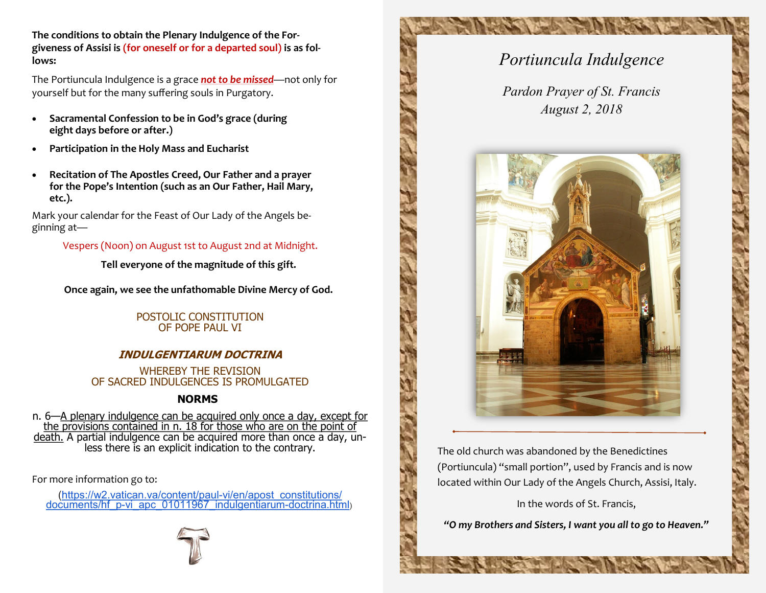**The conditions to obtain the Plenary Indulgence of the Forgiveness of Assisi is (for oneself or for a departed soul) is as follows:**

The Portiuncula Indulgence is a grace *not to be missed*—not only for yourself but for the many suffering souls in Purgatory.

- **Sacramental Confession to be in God's grace (during eight days before or after.)**
- **Participation in the Holy Mass and Eucharist**
- **Recitation of The Apostles Creed, Our Father and a prayer for the Pope's Intention (such as an Our Father, Hail Mary, etc.).**

Mark your calendar for the Feast of Our Lady of the Angels beginning at—

Vespers (Noon) on August 1st to August 2nd at Midnight.

**Tell everyone of the magnitude of this gift.**

**Once again, we see the unfathomable Divine Mercy of God.**

POSTOLIC CONSTITUTION OF POPE PAUL VI

## **INDULGENTIARUM DOCTRINA**

WHEREBY THE REVISION OF SACRED INDULGENCES IS PROMULGATED

## **NORMS**

n. 6—A plenary indulgence can be acquired only once a day, except for the provisions contained in n. 18 for those who are on the point of death. A partial indulgence can be acquired more than once a day, unless there is an explicit indication to the contrary.

For more information go to:

([https://w2.vatican.va/content/paul](https://w2.vatican.va/content/paul-vi/en/apost_constitutions/documents/hf_p-vi_apc_01011967_indulgentiarum-doctrina.html)-vi/en/apost\_constitutions/ documents/hf\_p-[vi\\_apc\\_01011967\\_indulgentiarum](https://w2.vatican.va/content/paul-vi/en/apost_constitutions/documents/hf_p-vi_apc_01011967_indulgentiarum-doctrina.html)-doctrina.html)





*Pardon Prayer of St. Francis August 2, 2018*



The old church was abandoned by the Benedictines (Portiuncula) "small portion", used by Francis and is now located within Our Lady of the Angels Church, Assisi, Italy.

In the words of St. Francis,

*"O my Brothers and Sisters, I want you all to go to Heaven."*